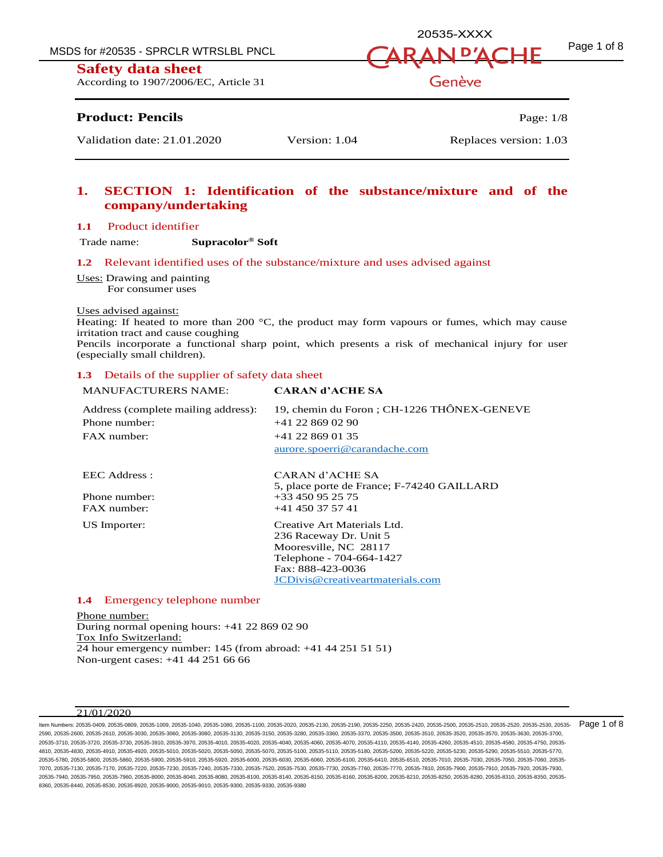MSDS for #20535 - SPRCLR WTRSLBL PNCL  $\overline{A}RAN\overline{D'ACHF}$   $^{Page 1 \text{ of } 8}$ 



According to 1907/2006/EC, Article 31

## **Product: Pencils** Page: 1/8

## **1. SECTION 1: Identification of the substance/mixture and of the company/undertaking**

#### **1.1** Product identifier

Trade name: **Supracolor® Soft**

## **1.2** Relevant identified uses of the substance/mixture and uses advised against

Uses: Drawing and painting For consumer uses

#### Uses advised against:

Heating: If heated to more than 200  $^{\circ}$ C, the product may form vapours or fumes, which may cause irritation tract and cause coughing

Pencils incorporate a functional sharp point, which presents a risk of mechanical injury for user (especially small children).

#### **1.3** Details of the supplier of safety data sheet

| <b>MANUFACTURERS NAME:</b>          | <b>CARAN d'ACHE SA</b>                     |
|-------------------------------------|--------------------------------------------|
| Address (complete mailing address): | 19, chemin du Foron; CH-1226 THÔNEX-GENEVE |
| Phone number:                       | $+41$ 22 869 02 90                         |
| $FAX$ number:                       | $+41$ 22 869 01 35                         |
|                                     | aurore.spoerri@carandache.com              |
| EEC Address :                       | CARAN d'ACHE SA                            |
|                                     | 5, place porte de France; F-74240 GAILLARD |
| Phone number:                       | +33 450 95 25 75                           |
| $FAX$ number:                       | $+41$ 450 37 57 41                         |
| US Importer:                        | Creative Art Materials Ltd.                |
|                                     | 236 Raceway Dr. Unit 5                     |
|                                     | Mooresville, NC 28117                      |
|                                     | Telephone - 704-664-1427                   |
|                                     | Fax: 888-423-0036                          |
|                                     | JCDivis@creativeartmaterials.com           |
|                                     |                                            |

## **1.4** Emergency telephone number

Phone number: During normal opening hours: +41 22 869 02 90 Tox Info Switzerland: 24 hour emergency number: 145 (from abroad: +41 44 251 51 51) Non-urgent cases: +41 44 251 66 66

#### 21/01/2020

ltem Numbers: 20535-0409, 20535-0809, 20535-1049, 20535-1040, 20535-1100, 20535-2110, 20535-2130, 20535-2190, 20535-250, 20535-2420, 20535-2500, 20535-2510, 20535-2520, 20535-2520, 20535-2530, 20535-2530, 20535-2520, 20535 2590, 20535-2600, 20535-2610, 20535-3030, 20535-3060, 20535-3080, 20535-3130, 20535-3150, 20535-3280, 20535-3360, 20535-3370, 20535-3500, 20535-3510, 20535-3520, 20535-3570, 20535-3630, 20535-3700, 20535-3710, 20535-3720, 20535-3730, 20535-3910, 20535-3970, 20535-4010, 20535-4020, 20535-4040, 20535-4060, 20535-4070, 20535-4110, 20535-4140, 20535-4260, 20535-4510, 20535-4580, 20535-4750, 20535- 4810, 20535-4830, 20535-4910, 20535-4920, 20535-5010, 20535-5020, 20535-5050, 20535-5070, 20535-5100, 20535-5110, 20535-5180, 20535-5200, 20535-5220, 20535-5230, 20535-5290, 20535-5510, 20535-5770, 20535-5780, 20535-5800, 20535-5860, 20535-5900, 20535-5910, 20535-5920, 20535-6000, 20535-6030, 20535-6000, 20535-610, 20535-6410, 20535-6510, 20535-7010, 20535-7030, 20535-7050, 20535-7010, 20535-7050, 20535-7050, 20535-70 7070, 20535-7130, 20535-7170, 20535-7220, 20535-7230, 20535-7240, 20535-7330, 20535-7520, 20535-7530, 20535-7730, 20535-7760, 20535-7770, 20535-7810, 20535-7900, 20535-7910, 20535-7920, 20535-7930, 20535-7940, 20535-7950, 20535-7960, 20535-8000, 20535-8040, 20535-8080, 20535-8100, 20535-8140, 20535-8150, 20535-8160, 20535-8200, 20535-8210, 20535-8250, 20535-8280, 20535-8310, 20535-8350, 20535- 8360, 20535-8440, 20535-8530, 20535-8920, 20535-9000, 20535-9010, 20535-9300, 20535-9330, 20535-9380

# Genève

20535-XXXX

Validation date: 21.01.2020 Version: 1.04 Replaces version: 1.03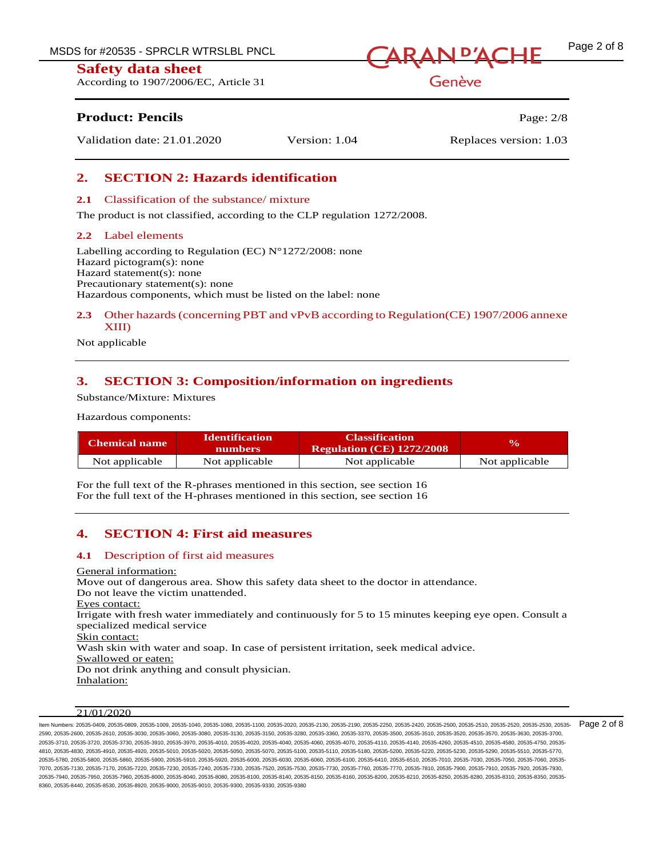According to 1907/2006/EC, Article 31



Genève

## **Product: Pencils Page: 2/8**

Validation date: 21.01.2020 Version: 1.04 Replaces version: 1.03

## **2. SECTION 2: Hazards identification**

## **2.1** Classification of the substance/ mixture

The product is not classified, according to the CLP regulation 1272/2008.

## **2.2** Label elements

Labelling according to Regulation (EC)  $N^{\circ}1272/2008$ : none Hazard pictogram(s): none Hazard statement(s): none Precautionary statement(s): none Hazardous components, which must be listed on the label: none

## **2.3** Other hazards (concerning PBT and vPvB according to Regulation(CE) 1907/2006 annexe XIII)

Not applicable

## **3. SECTION 3: Composition/information on ingredients**

Substance/Mixture: Mixtures

Hazardous components:

| Chemical name  | <b>Identification</b><br><b>numbers</b> | <b>Classification</b><br><b>Regulation (CE) 1272/2008</b> | $\mathbf{v}_0$ |
|----------------|-----------------------------------------|-----------------------------------------------------------|----------------|
| Not applicable | Not applicable                          | Not applicable                                            | Not applicable |

For the full text of the R-phrases mentioned in this section, see section 16 For the full text of the H-phrases mentioned in this section, see section 16

## **4. SECTION 4: First aid measures**

## **4.1** Description of first aid measures

General information: Move out of dangerous area. Show this safety data sheet to the doctor in attendance. Do not leave the victim unattended. Eyes contact: Irrigate with fresh water immediately and continuously for 5 to 15 minutes keeping eye open. Consult a specialized medical service Skin contact: Wash skin with water and soap. In case of persistent irritation, seek medical advice. Swallowed or eaten: Do not drink anything and consult physician. Inhalation:

## $21/01/2020$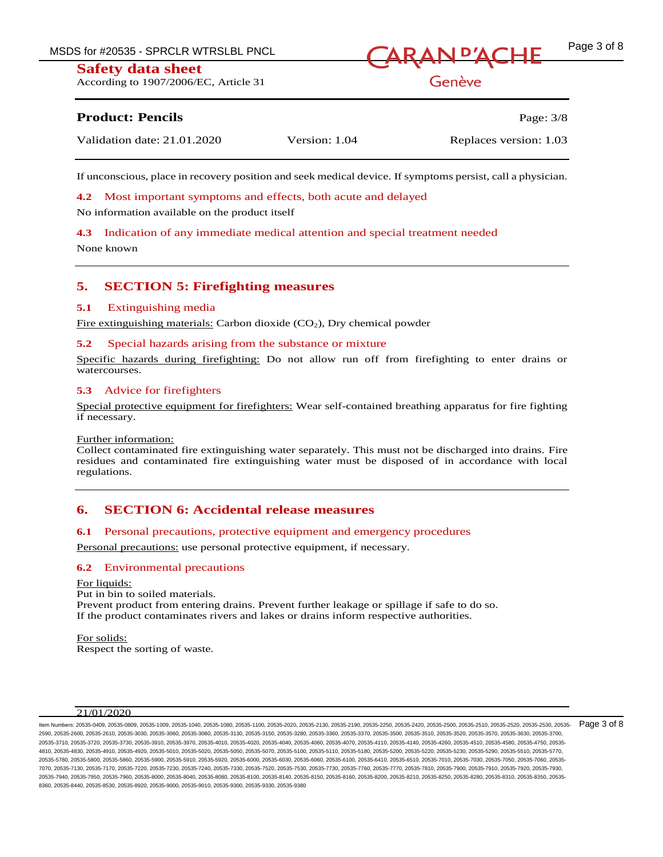According to 1907/2006/EC, Article 31



Genève

## **Product: Pencils** Page: 3/8

| Validation date: 21.01.2020 | Version: 1.04 | Replaces version: 1.03 |
|-----------------------------|---------------|------------------------|
|                             |               |                        |

If unconscious, place in recovery position and seek medical device. If symptoms persist, call a physician.

**4.2** Most important symptoms and effects, both acute and delayed

No information available on the product itself

**4.3** Indication of any immediate medical attention and special treatment needed

None known

## **5. SECTION 5: Firefighting measures**

## **5.1** Extinguishing media

Fire extinguishing materials: Carbon dioxide (CO2), Dry chemical powder

## **5.2** Special hazards arising from the substance or mixture

Specific hazards during firefighting: Do not allow run off from firefighting to enter drains or watercourses.

## **5.3** Advice for firefighters

Special protective equipment for firefighters: Wear self-contained breathing apparatus for fire fighting if necessary.

#### Further information:

Collect contaminated fire extinguishing water separately. This must not be discharged into drains. Fire residues and contaminated fire extinguishing water must be disposed of in accordance with local regulations.

## **6. SECTION 6: Accidental release measures**

## **6.1** Personal precautions, protective equipment and emergency procedures

Personal precautions: use personal protective equipment, if necessary.

## **6.2** Environmental precautions

For liquids: Put in bin to soiled materials. Prevent product from entering drains. Prevent further leakage or spillage if safe to do so. If the product contaminates rivers and lakes or drains inform respective authorities.

For solids: Respect the sorting of waste.

## 21/01/2020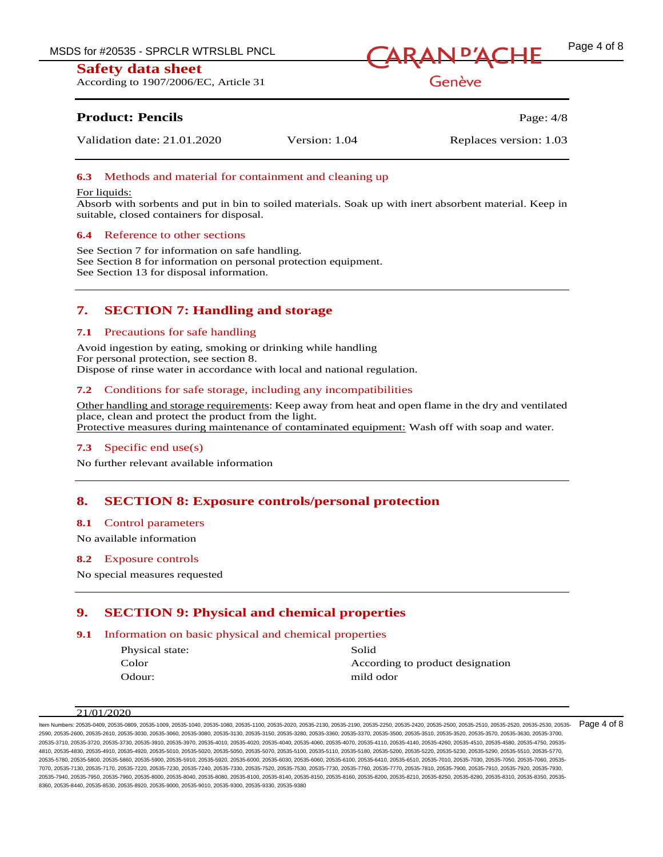According to 1907/2006/EC, Article 31



Genève

## **Product: Pencils** Page: 4/8

Validation date: 21.01.2020 Version: 1.04 Replaces version: 1.03

## **6.3** Methods and material for containment and cleaning up

#### For liquids:

Absorb with sorbents and put in bin to soiled materials. Soak up with inert absorbent material. Keep in suitable, closed containers for disposal.

## **6.4** Reference to other sections

See Section 7 for information on safe handling. See Section 8 for information on personal protection equipment. See Section 13 for disposal information.

## **7. SECTION 7: Handling and storage**

#### **7.1** Precautions for safe handling

Avoid ingestion by eating, smoking or drinking while handling For personal protection, see section 8. Dispose of rinse water in accordance with local and national regulation.

## **7.2** Conditions for safe storage, including any incompatibilities

Other handling and storage requirements: Keep away from heat and open flame in the dry and ventilated place, clean and protect the product from the light. Protective measures during maintenance of contaminated equipment: Wash off with soap and water.

## **7.3** Specific end use(s)

No further relevant available information

## **8. SECTION 8: Exposure controls/personal protection**

#### **8.1** Control parameters

No available information

#### **8.2** Exposure controls

No special measures requested

## **9. SECTION 9: Physical and chemical properties**

## **9.1** Information on basic physical and chemical properties

| Physical state: | Solid                            |
|-----------------|----------------------------------|
| Color           | According to product designation |
| Odour:          | mild odor                        |

#### 21/01/2020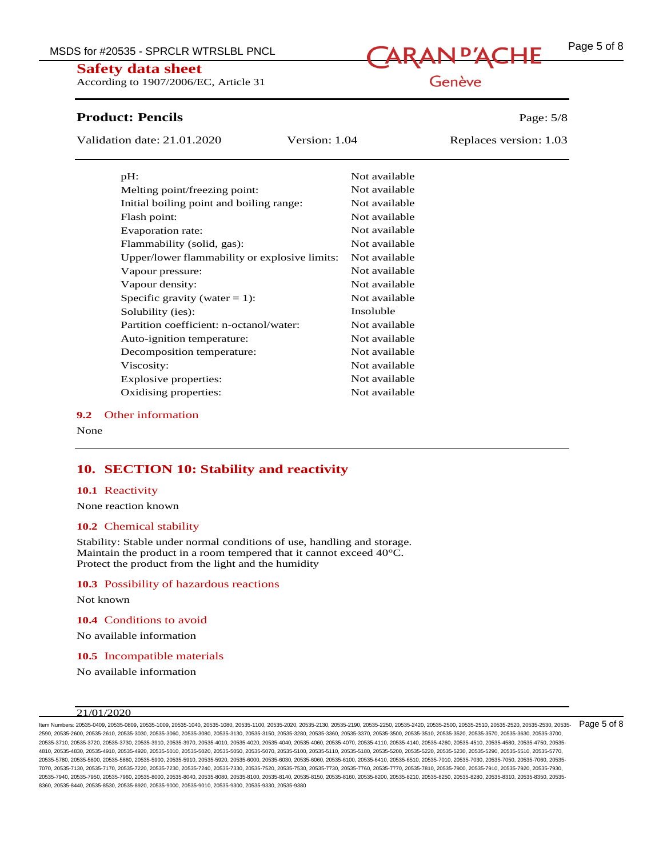MSDS for #20535 - SPRCLR WTRSLBL PNCL<br>  $\sqrt{ARAN}$   $\frac{P'ACHE}{P}$   $\frac{Page 5 of 8}{P}$ 

## **Safety data sheet**

According to 1907/2006/EC, Article 31

# **Product: Pencils Page: 5/8**

Validation date: 21.01.2020 Version: 1.04 Replaces version: 1.03

| pH:                                           | Not available |
|-----------------------------------------------|---------------|
| Melting point/freezing point:                 | Not available |
| Initial boiling point and boiling range:      | Not available |
| Flash point:                                  | Not available |
| Evaporation rate:                             | Not available |
| Flammability (solid, gas):                    | Not available |
| Upper/lower flammability or explosive limits: | Not available |
| Vapour pressure:                              | Not available |
| Vapour density:                               | Not available |
| Specific gravity (water $= 1$ ):              | Not available |
| Solubility (ies):                             | Insoluble     |
| Partition coefficient: n-octanol/water:       | Not available |
| Auto-ignition temperature:                    | Not available |
| Decomposition temperature:                    | Not available |
| Viscosity:                                    | Not available |
| Explosive properties:                         | Not available |
| Oxidising properties:                         | Not available |

#### **9.2** Other information

None

## **10. SECTION 10: Stability and reactivity**

#### **10.1** Reactivity

None reaction known

#### **10.2** Chemical stability

Stability: Stable under normal conditions of use, handling and storage. Maintain the product in a room tempered that it cannot exceed 40°C. Protect the product from the light and the humidity

#### **10.3** Possibility of hazardous reactions

Not known

**10.4** Conditions to avoid

No available information

**10.5** Incompatible materials

No available information

#### 21/01/2020

ltem Numbers: 20535-0409, 20535-0809, 20535-1049, 20535-1040, 20535-1100, 20535-2110, 20535-2130, 20535-2190, 20535-250, 20535-2420, 20535-2500, 20535-2510, 20535-2520, 20535-2520, 20535-2530, 20535-2530, 20535-2520, 20535 2590, 20535-2600, 20535-2610, 20535-3030, 20535-3060, 20535-3080, 20535-3130, 20535-3150, 20535-3280, 20535-3360, 20535-3370, 20535-3500, 20535-3510, 20535-3520, 20535-3570, 20535-3630, 20535-3700, 20535-3710, 20535-3720, 20535-3730, 20535-3910, 20535-3970, 20535-4010, 20535-4020, 20535-4040, 20535-4060, 20535-4070, 20535-4110, 20535-4140, 20535-4260, 20535-4510, 20535-4580, 20535-4750, 20535- 4810, 20535-4830, 20535-4910, 20535-4920, 20535-5010, 20535-5020, 20535-5050, 20535-5070, 20535-5100, 20535-5110, 20535-5180, 20535-5200, 20535-5220, 20535-5230, 20535-5290, 20535-5510, 20535-5770, 20535-5780, 20535-5800, 20535-5860, 20535-5900, 20535-5910, 20535-5920, 20535-6000, 20535-6030, 20535-6060, 20535-6100, 20535-6410, 20535-6510, 20535-7010, 20535-7030, 20535-7050, 20535-7060, 20535- 7070, 20535-7130, 20535-7170, 20535-7220, 20535-7230, 20535-7240, 20535-7330, 20535-7520, 20535-7530, 20535-7730, 20535-7760, 20535-7770, 20535-7810, 20535-7900, 20535-7910, 20535-7920, 20535-7930, 20535-7940, 20535-7950, 20535-7960, 20535-8000, 20535-8040, 20535-8160, 20535-8140, 20535-8150, 20535-8160, 20535-8160, 20535-8290, 20535-8210, 20535-8250, 20535-8250, 20535-8250, 20535-8250, 20535-8280, 20535-8310, 20535-8 8360, 20535-8440, 20535-8530, 20535-8920, 20535-9000, 20535-9010, 20535-9300, 20535-9330, 20535-9380

# Genève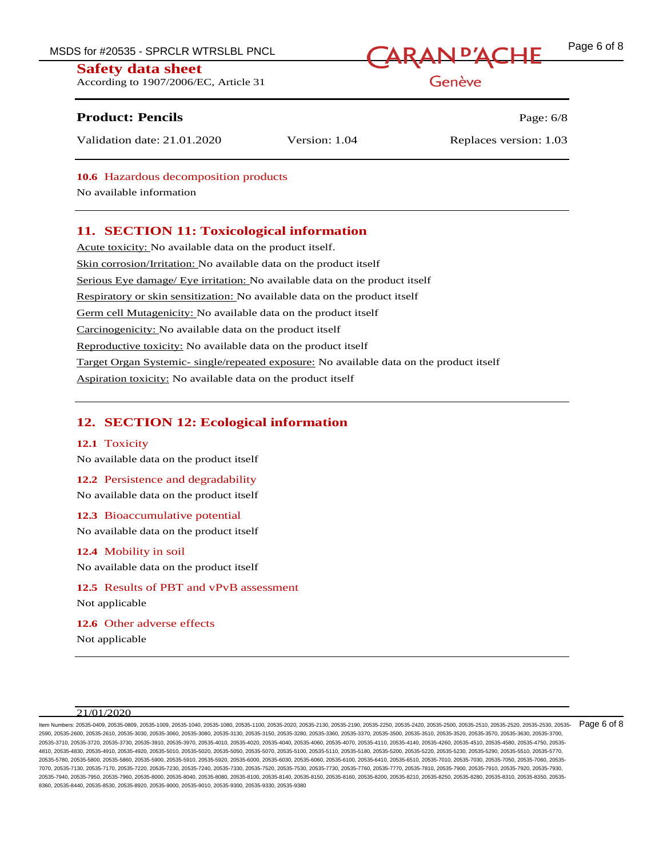According to 1907/2006/EC, Article 31

# MSDS for #20535 - SPRCLR WTRSLBL PNCL<br>
CARAN <sup>D'</sup>ACHE

Genève

## **Product: Pencils Page: 6/8**

Validation date: 21.01.2020 Version: 1.04 Replaces version: 1.03

## **10.6** Hazardous decomposition products

No available information

## **11. SECTION 11: Toxicological information**

Acute toxicity: No available data on the product itself. Skin corrosion/Irritation: No available data on the product itself Serious Eye damage/ Eye irritation: No available data on the product itself Respiratory or skin sensitization: No available data on the product itself Germ cell Mutagenicity: No available data on the product itself Carcinogenicity: No available data on the product itself Reproductive toxicity: No available data on the product itself Target Organ Systemic- single/repeated exposure: No available data on the product itself Aspiration toxicity: No available data on the product itself

## **12. SECTION 12: Ecological information**

## **12.1** Toxicity

No available data on the product itself

## **12.2** Persistence and degradability

No available data on the product itself

## **12.3** Bioaccumulative potential

No available data on the product itself

## **12.4** Mobility in soil

No available data on the product itself

# **12.5** Results of PBT and vPvB assessment

Not applicable

# **12.6** Other adverse effects

Not applicable

## $21/01/2020$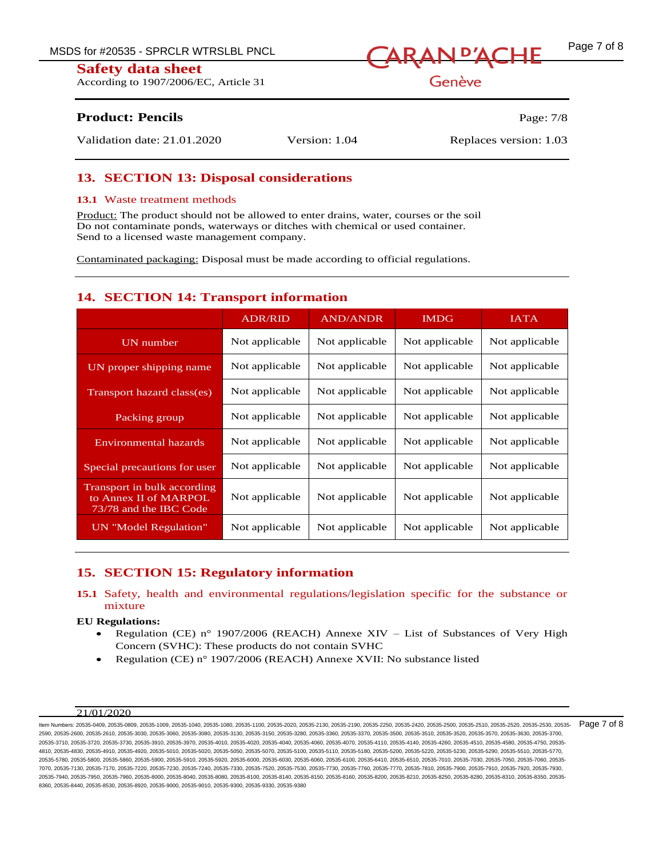According to 1907/2006/EC, Article 31



Genève

## **Product: Pencils** Page: 7/8

Validation date: 21.01.2020 Version: 1.04 Replaces version: 1.03

## **13. SECTION 13: Disposal considerations**

#### **13.1** Waste treatment methods

Product: The product should not be allowed to enter drains, water, courses or the soil Do not contaminate ponds, waterways or ditches with chemical or used container. Send to a licensed waste management company.

Contaminated packaging: Disposal must be made according to official regulations.

## **14. SECTION 14: Transport information**

|                                                                                | <b>ADR/RID</b> | <b>AND/ANDR</b> | <b>IMDG</b>    | <b>IATA</b>    |
|--------------------------------------------------------------------------------|----------------|-----------------|----------------|----------------|
| UN number                                                                      | Not applicable | Not applicable  | Not applicable | Not applicable |
| UN proper shipping name                                                        | Not applicable | Not applicable  | Not applicable | Not applicable |
| Transport hazard class(es)                                                     | Not applicable | Not applicable  | Not applicable | Not applicable |
| Packing group                                                                  | Not applicable | Not applicable  | Not applicable | Not applicable |
| Environmental hazards                                                          | Not applicable | Not applicable  | Not applicable | Not applicable |
| Special precautions for user                                                   | Not applicable | Not applicable  | Not applicable | Not applicable |
| Transport in bulk according<br>to Annex II of MARPOL<br>73/78 and the IBC Code | Not applicable | Not applicable  | Not applicable | Not applicable |
| UN "Model Regulation"                                                          | Not applicable | Not applicable  | Not applicable | Not applicable |

## **15. SECTION 15: Regulatory information**

## **15.1** Safety, health and environmental regulations/legislation specific for the substance or mixture

#### **EU Regulations:**

- Regulation (CE) n° 1907/2006 (REACH) Annexe XIV List of Substances of Very High Concern (SVHC): These products do not contain SVHC
- Regulation (CE) n° 1907/2006 (REACH) Annexe XVII: No substance listed

#### 21/01/2020